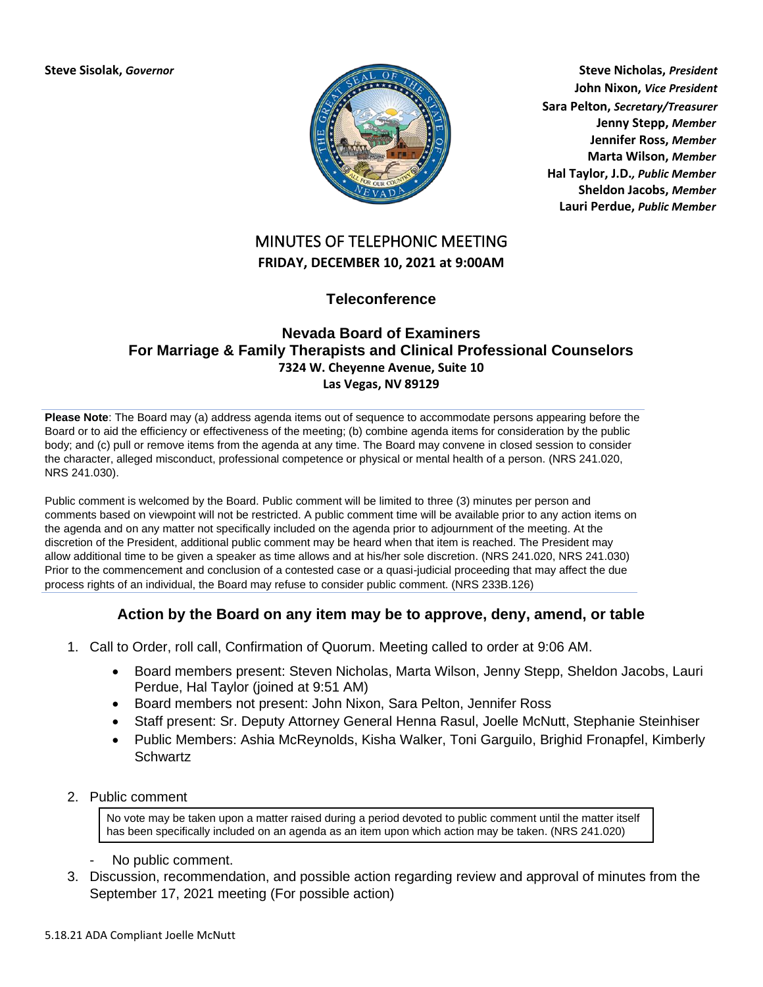

**Steve Sisolak,** *Governor* **Steve Nicholas,** *President* **John Nixon,** *Vice President* **Sara Pelton,** *Secretary/Treasurer* **Jenny Stepp,** *Member* **Jennifer Ross,** *Member* **Marta Wilson,** *Member* **Hal Taylor, J.D.***, Public Member* **Sheldon Jacobs,** *Member* **Lauri Perdue,** *Public Member*

## MINUTES OF TELEPHONIC MEETING **FRIDAY, DECEMBER 10, 2021 at 9:00AM**

**Teleconference**

## **Nevada Board of Examiners For Marriage & Family Therapists and Clinical Professional Counselors 7324 W. Cheyenne Avenue, Suite 10 Las Vegas, NV 89129**

**Please Note**: The Board may (a) address agenda items out of sequence to accommodate persons appearing before the Board or to aid the efficiency or effectiveness of the meeting; (b) combine agenda items for consideration by the public body; and (c) pull or remove items from the agenda at any time. The Board may convene in closed session to consider the character, alleged misconduct, professional competence or physical or mental health of a person. (NRS 241.020, NRS 241.030).

Public comment is welcomed by the Board. Public comment will be limited to three (3) minutes per person and comments based on viewpoint will not be restricted. A public comment time will be available prior to any action items on the agenda and on any matter not specifically included on the agenda prior to adjournment of the meeting. At the discretion of the President, additional public comment may be heard when that item is reached. The President may allow additional time to be given a speaker as time allows and at his/her sole discretion. (NRS 241.020, NRS 241.030) Prior to the commencement and conclusion of a contested case or a quasi-judicial proceeding that may affect the due process rights of an individual, the Board may refuse to consider public comment. (NRS 233B.126)

## **Action by the Board on any item may be to approve, deny, amend, or table**

- 1. Call to Order, roll call, Confirmation of Quorum. Meeting called to order at 9:06 AM.
	- Board members present: Steven Nicholas, Marta Wilson, Jenny Stepp, Sheldon Jacobs, Lauri Perdue, Hal Taylor (joined at 9:51 AM)
	- Board members not present: John Nixon, Sara Pelton, Jennifer Ross
	- Staff present: Sr. Deputy Attorney General Henna Rasul, Joelle McNutt, Stephanie Steinhiser
	- Public Members: Ashia McReynolds, Kisha Walker, Toni Garguilo, Brighid Fronapfel, Kimberly **Schwartz**
- 2. Public comment

No vote may be taken upon a matter raised during a period devoted to public comment until the matter itself has been specifically included on an agenda as an item upon which action may be taken. (NRS 241.020)

- No public comment.
- 3. Discussion, recommendation, and possible action regarding review and approval of minutes from the September 17, 2021 meeting (For possible action)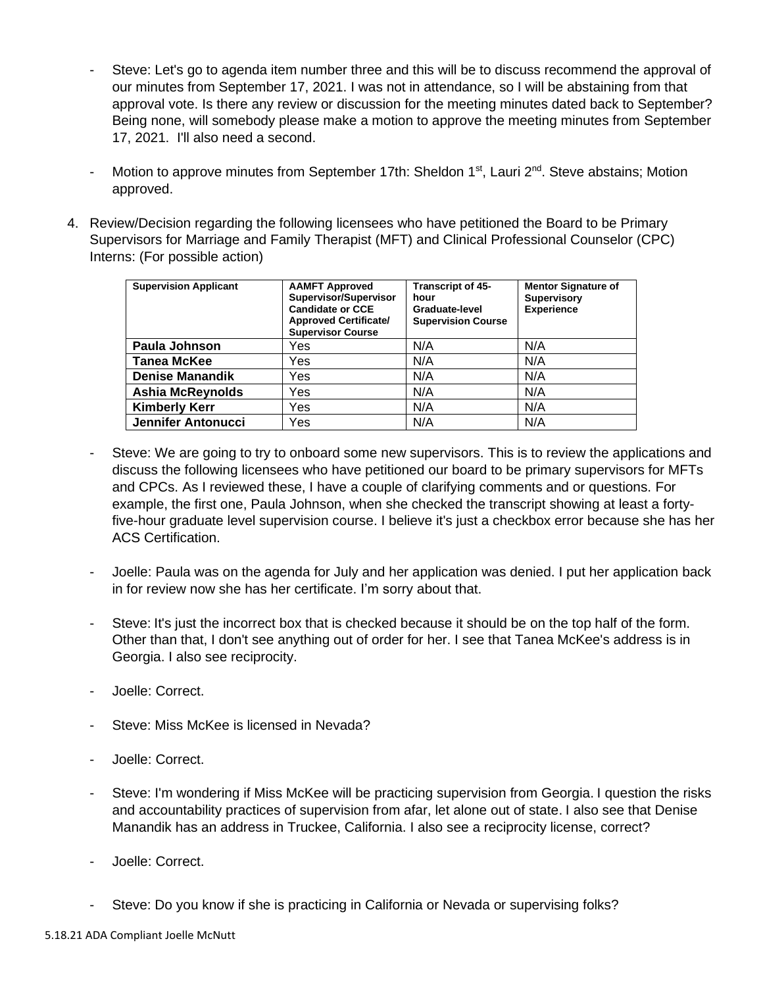- Steve: Let's go to agenda item number three and this will be to discuss recommend the approval of our minutes from September 17, 2021. I was not in attendance, so I will be abstaining from that approval vote. Is there any review or discussion for the meeting minutes dated back to September? Being none, will somebody please make a motion to approve the meeting minutes from September 17, 2021. I'll also need a second.
- Motion to approve minutes from September 17th: Sheldon 1<sup>st</sup>, Lauri 2<sup>nd</sup>. Steve abstains; Motion approved.
- 4. Review/Decision regarding the following licensees who have petitioned the Board to be Primary Supervisors for Marriage and Family Therapist (MFT) and Clinical Professional Counselor (CPC) Interns: (For possible action)

| <b>Supervision Applicant</b> | <b>AAMFT Approved</b><br><b>Supervisor/Supervisor</b><br><b>Candidate or CCE</b><br><b>Approved Certificate/</b><br><b>Supervisor Course</b> | <b>Transcript of 45-</b><br>hour<br>Graduate-level<br><b>Supervision Course</b> | <b>Mentor Signature of</b><br><b>Supervisory</b><br><b>Experience</b> |
|------------------------------|----------------------------------------------------------------------------------------------------------------------------------------------|---------------------------------------------------------------------------------|-----------------------------------------------------------------------|
| Paula Johnson                | Yes                                                                                                                                          | N/A                                                                             | N/A                                                                   |
| <b>Tanea McKee</b>           | Yes                                                                                                                                          | N/A                                                                             | N/A                                                                   |
| <b>Denise Manandik</b>       | Yes                                                                                                                                          | N/A                                                                             | N/A                                                                   |
| <b>Ashia McReynolds</b>      | Yes                                                                                                                                          | N/A                                                                             | N/A                                                                   |
| <b>Kimberly Kerr</b>         | Yes                                                                                                                                          | N/A                                                                             | N/A                                                                   |
| Jennifer Antonucci           | Yes                                                                                                                                          | N/A                                                                             | N/A                                                                   |

- Steve: We are going to try to onboard some new supervisors. This is to review the applications and discuss the following licensees who have petitioned our board to be primary supervisors for MFTs and CPCs. As I reviewed these, I have a couple of clarifying comments and or questions. For example, the first one, Paula Johnson, when she checked the transcript showing at least a fortyfive-hour graduate level supervision course. I believe it's just a checkbox error because she has her ACS Certification.
- Joelle: Paula was on the agenda for July and her application was denied. I put her application back in for review now she has her certificate. I'm sorry about that.
- Steve: It's just the incorrect box that is checked because it should be on the top half of the form. Other than that, I don't see anything out of order for her. I see that Tanea McKee's address is in Georgia. I also see reciprocity.
- Joelle: Correct.
- Steve: Miss McKee is licensed in Nevada?
- Joelle: Correct.
- Steve: I'm wondering if Miss McKee will be practicing supervision from Georgia. I question the risks and accountability practices of supervision from afar, let alone out of state. I also see that Denise Manandik has an address in Truckee, California. I also see a reciprocity license, correct?
- Joelle: Correct.
- Steve: Do you know if she is practicing in California or Nevada or supervising folks?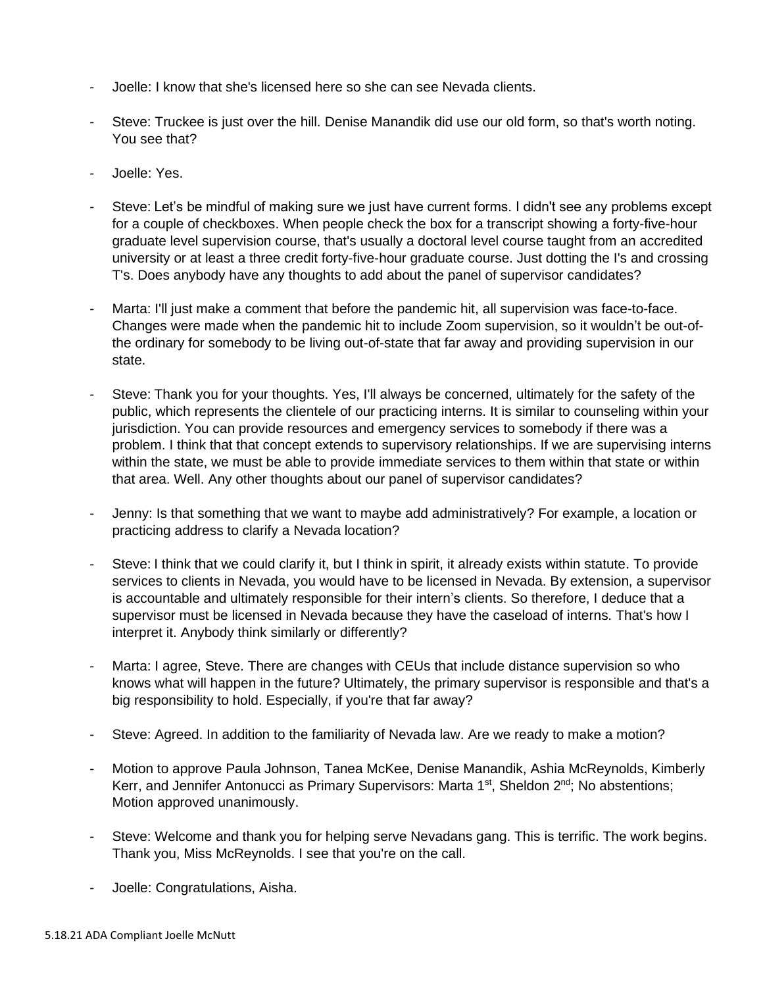- Joelle: I know that she's licensed here so she can see Nevada clients.
- Steve: Truckee is just over the hill. Denise Manandik did use our old form, so that's worth noting. You see that?
- Joelle: Yes.
- Steve: Let's be mindful of making sure we just have current forms. I didn't see any problems except for a couple of checkboxes. When people check the box for a transcript showing a forty-five-hour graduate level supervision course, that's usually a doctoral level course taught from an accredited university or at least a three credit forty-five-hour graduate course. Just dotting the I's and crossing T's. Does anybody have any thoughts to add about the panel of supervisor candidates?
- Marta: I'll just make a comment that before the pandemic hit, all supervision was face-to-face. Changes were made when the pandemic hit to include Zoom supervision, so it wouldn't be out-ofthe ordinary for somebody to be living out-of-state that far away and providing supervision in our state.
- Steve: Thank you for your thoughts. Yes, I'll always be concerned, ultimately for the safety of the public, which represents the clientele of our practicing interns. It is similar to counseling within your jurisdiction. You can provide resources and emergency services to somebody if there was a problem. I think that that concept extends to supervisory relationships. If we are supervising interns within the state, we must be able to provide immediate services to them within that state or within that area. Well. Any other thoughts about our panel of supervisor candidates?
- Jenny: Is that something that we want to maybe add administratively? For example, a location or practicing address to clarify a Nevada location?
- Steve: I think that we could clarify it, but I think in spirit, it already exists within statute. To provide services to clients in Nevada, you would have to be licensed in Nevada. By extension, a supervisor is accountable and ultimately responsible for their intern's clients. So therefore, I deduce that a supervisor must be licensed in Nevada because they have the caseload of interns. That's how I interpret it. Anybody think similarly or differently?
- Marta: I agree, Steve. There are changes with CEUs that include distance supervision so who knows what will happen in the future? Ultimately, the primary supervisor is responsible and that's a big responsibility to hold. Especially, if you're that far away?
- Steve: Agreed. In addition to the familiarity of Nevada law. Are we ready to make a motion?
- Motion to approve Paula Johnson, Tanea McKee, Denise Manandik, Ashia McReynolds, Kimberly Kerr, and Jennifer Antonucci as Primary Supervisors: Marta 1<sup>st</sup>, Sheldon 2<sup>nd</sup>; No abstentions; Motion approved unanimously.
- Steve: Welcome and thank you for helping serve Nevadans gang. This is terrific. The work begins. Thank you, Miss McReynolds. I see that you're on the call.
- Joelle: Congratulations, Aisha.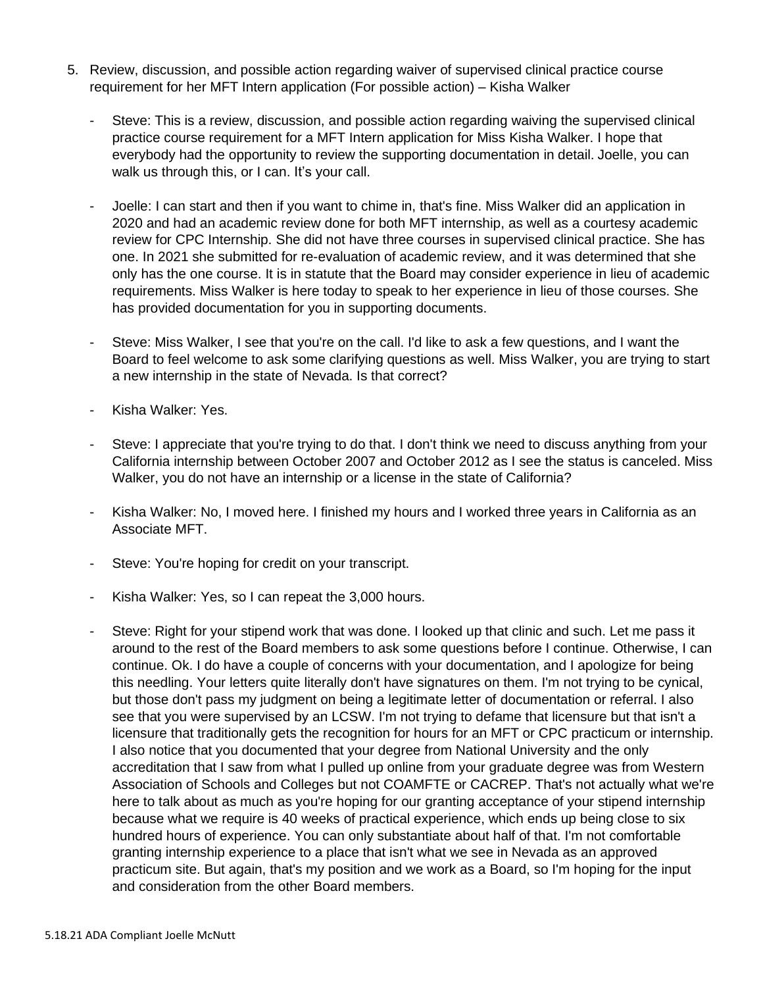- 5. Review, discussion, and possible action regarding waiver of supervised clinical practice course requirement for her MFT Intern application (For possible action) – Kisha Walker
	- Steve: This is a review, discussion, and possible action regarding waiving the supervised clinical practice course requirement for a MFT Intern application for Miss Kisha Walker. I hope that everybody had the opportunity to review the supporting documentation in detail. Joelle, you can walk us through this, or I can. It's your call.
	- Joelle: I can start and then if you want to chime in, that's fine. Miss Walker did an application in 2020 and had an academic review done for both MFT internship, as well as a courtesy academic review for CPC Internship. She did not have three courses in supervised clinical practice. She has one. In 2021 she submitted for re-evaluation of academic review, and it was determined that she only has the one course. It is in statute that the Board may consider experience in lieu of academic requirements. Miss Walker is here today to speak to her experience in lieu of those courses. She has provided documentation for you in supporting documents.
	- Steve: Miss Walker, I see that you're on the call. I'd like to ask a few questions, and I want the Board to feel welcome to ask some clarifying questions as well. Miss Walker, you are trying to start a new internship in the state of Nevada. Is that correct?
	- Kisha Walker: Yes.
	- Steve: I appreciate that you're trying to do that. I don't think we need to discuss anything from your California internship between October 2007 and October 2012 as I see the status is canceled. Miss Walker, you do not have an internship or a license in the state of California?
	- Kisha Walker: No, I moved here. I finished my hours and I worked three years in California as an Associate MFT.
	- Steve: You're hoping for credit on your transcript.
	- Kisha Walker: Yes, so I can repeat the 3,000 hours.
	- Steve: Right for your stipend work that was done. I looked up that clinic and such. Let me pass it around to the rest of the Board members to ask some questions before I continue. Otherwise, I can continue. Ok. I do have a couple of concerns with your documentation, and I apologize for being this needling. Your letters quite literally don't have signatures on them. I'm not trying to be cynical, but those don't pass my judgment on being a legitimate letter of documentation or referral. I also see that you were supervised by an LCSW. I'm not trying to defame that licensure but that isn't a licensure that traditionally gets the recognition for hours for an MFT or CPC practicum or internship. I also notice that you documented that your degree from National University and the only accreditation that I saw from what I pulled up online from your graduate degree was from Western Association of Schools and Colleges but not COAMFTE or CACREP. That's not actually what we're here to talk about as much as you're hoping for our granting acceptance of your stipend internship because what we require is 40 weeks of practical experience, which ends up being close to six hundred hours of experience. You can only substantiate about half of that. I'm not comfortable granting internship experience to a place that isn't what we see in Nevada as an approved practicum site. But again, that's my position and we work as a Board, so I'm hoping for the input and consideration from the other Board members.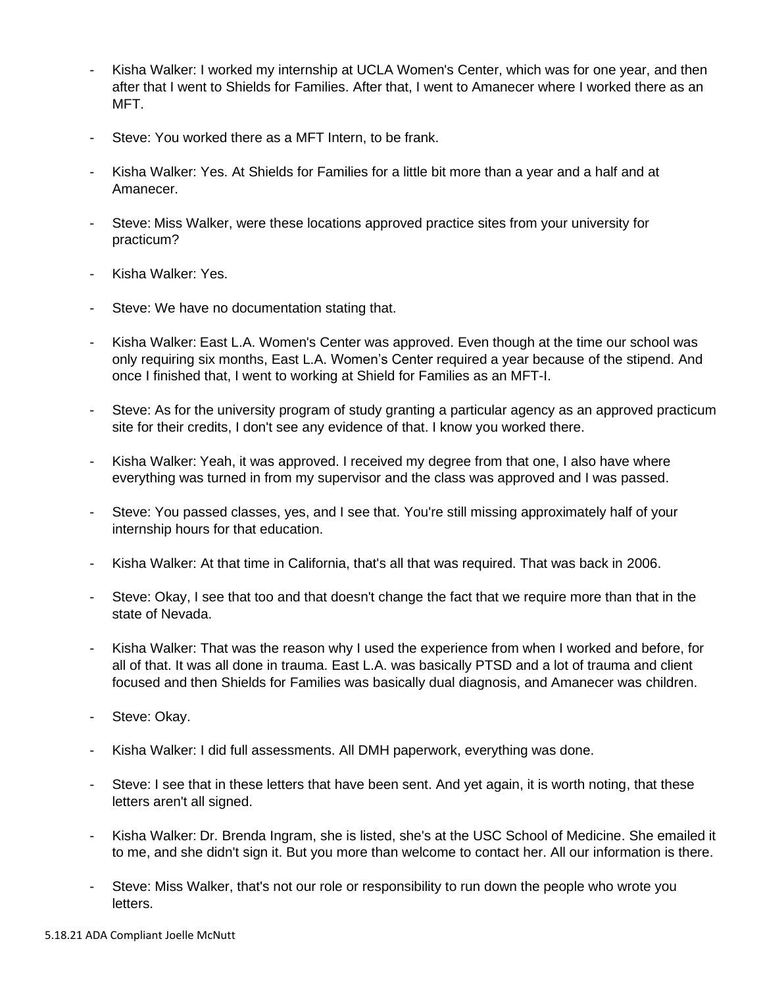- Kisha Walker: I worked my internship at UCLA Women's Center, which was for one year, and then after that I went to Shields for Families. After that, I went to Amanecer where I worked there as an MFT.
- Steve: You worked there as a MFT Intern, to be frank.
- Kisha Walker: Yes. At Shields for Families for a little bit more than a year and a half and at Amanecer.
- Steve: Miss Walker, were these locations approved practice sites from your university for practicum?
- Kisha Walker: Yes.
- Steve: We have no documentation stating that.
- Kisha Walker: East L.A. Women's Center was approved. Even though at the time our school was only requiring six months, East L.A. Women's Center required a year because of the stipend. And once I finished that, I went to working at Shield for Families as an MFT-I.
- Steve: As for the university program of study granting a particular agency as an approved practicum site for their credits, I don't see any evidence of that. I know you worked there.
- Kisha Walker: Yeah, it was approved. I received my degree from that one, I also have where everything was turned in from my supervisor and the class was approved and I was passed.
- Steve: You passed classes, yes, and I see that. You're still missing approximately half of your internship hours for that education.
- Kisha Walker: At that time in California, that's all that was required. That was back in 2006.
- Steve: Okay, I see that too and that doesn't change the fact that we require more than that in the state of Nevada.
- Kisha Walker: That was the reason why I used the experience from when I worked and before, for all of that. It was all done in trauma. East L.A. was basically PTSD and a lot of trauma and client focused and then Shields for Families was basically dual diagnosis, and Amanecer was children.
- Steve: Okay.
- Kisha Walker: I did full assessments. All DMH paperwork, everything was done.
- Steve: I see that in these letters that have been sent. And yet again, it is worth noting, that these letters aren't all signed.
- Kisha Walker: Dr. Brenda Ingram, she is listed, she's at the USC School of Medicine. She emailed it to me, and she didn't sign it. But you more than welcome to contact her. All our information is there.
- Steve: Miss Walker, that's not our role or responsibility to run down the people who wrote you letters.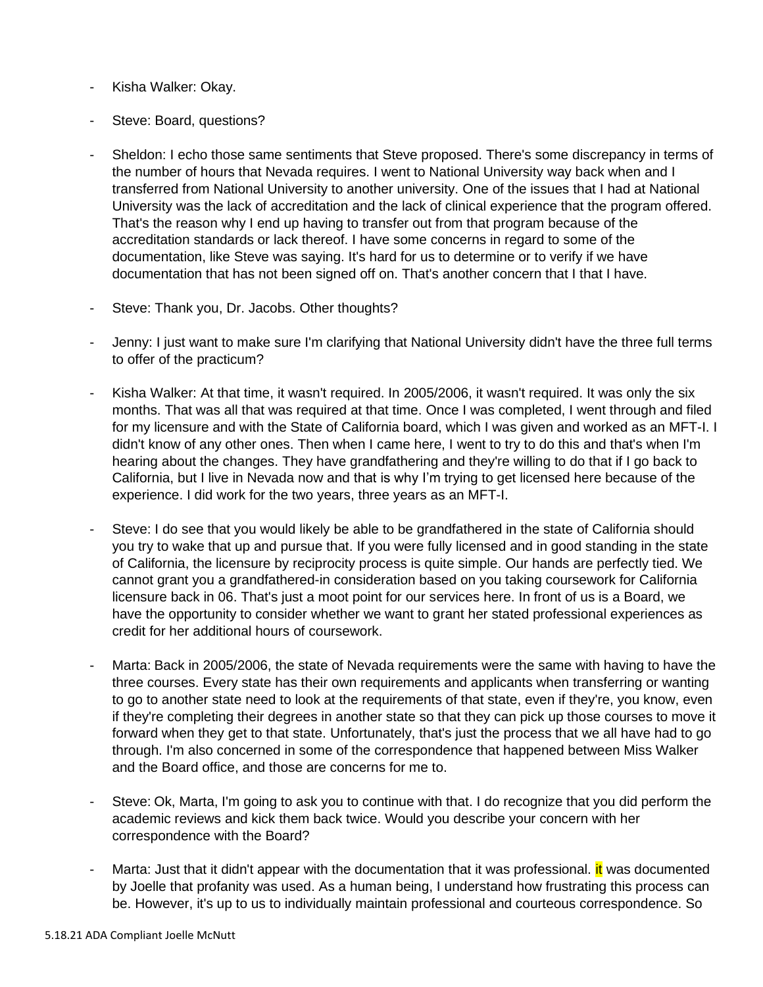- Kisha Walker: Okay.
- Steve: Board, questions?
- Sheldon: I echo those same sentiments that Steve proposed. There's some discrepancy in terms of the number of hours that Nevada requires. I went to National University way back when and I transferred from National University to another university. One of the issues that I had at National University was the lack of accreditation and the lack of clinical experience that the program offered. That's the reason why I end up having to transfer out from that program because of the accreditation standards or lack thereof. I have some concerns in regard to some of the documentation, like Steve was saying. It's hard for us to determine or to verify if we have documentation that has not been signed off on. That's another concern that I that I have.
- Steve: Thank you, Dr. Jacobs. Other thoughts?
- Jenny: I just want to make sure I'm clarifying that National University didn't have the three full terms to offer of the practicum?
- Kisha Walker: At that time, it wasn't required. In 2005/2006, it wasn't required. It was only the six months. That was all that was required at that time. Once I was completed, I went through and filed for my licensure and with the State of California board, which I was given and worked as an MFT-I. I didn't know of any other ones. Then when I came here, I went to try to do this and that's when I'm hearing about the changes. They have grandfathering and they're willing to do that if I go back to California, but I live in Nevada now and that is why I'm trying to get licensed here because of the experience. I did work for the two years, three years as an MFT-I.
- Steve: I do see that you would likely be able to be grandfathered in the state of California should you try to wake that up and pursue that. If you were fully licensed and in good standing in the state of California, the licensure by reciprocity process is quite simple. Our hands are perfectly tied. We cannot grant you a grandfathered-in consideration based on you taking coursework for California licensure back in 06. That's just a moot point for our services here. In front of us is a Board, we have the opportunity to consider whether we want to grant her stated professional experiences as credit for her additional hours of coursework.
- Marta: Back in 2005/2006, the state of Nevada requirements were the same with having to have the three courses. Every state has their own requirements and applicants when transferring or wanting to go to another state need to look at the requirements of that state, even if they're, you know, even if they're completing their degrees in another state so that they can pick up those courses to move it forward when they get to that state. Unfortunately, that's just the process that we all have had to go through. I'm also concerned in some of the correspondence that happened between Miss Walker and the Board office, and those are concerns for me to.
- Steve: Ok, Marta, I'm going to ask you to continue with that. I do recognize that you did perform the academic reviews and kick them back twice. Would you describe your concern with her correspondence with the Board?
- Marta: Just that it didn't appear with the documentation that it was professional. it was documented by Joelle that profanity was used. As a human being, I understand how frustrating this process can be. However, it's up to us to individually maintain professional and courteous correspondence. So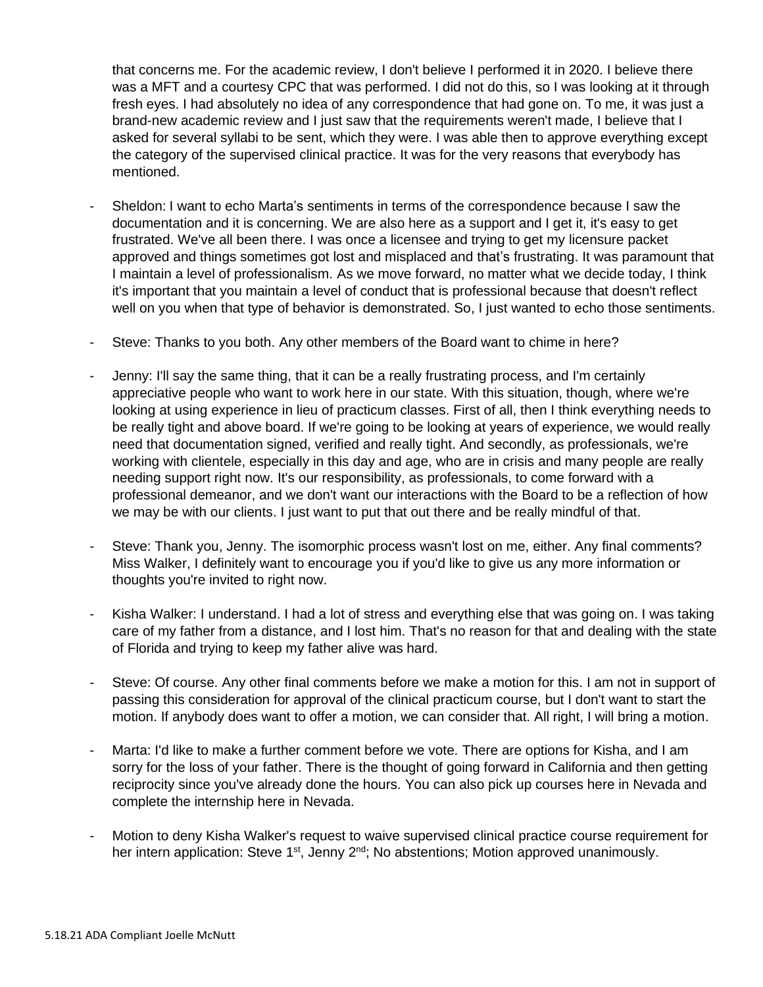that concerns me. For the academic review, I don't believe I performed it in 2020. I believe there was a MFT and a courtesy CPC that was performed. I did not do this, so I was looking at it through fresh eyes. I had absolutely no idea of any correspondence that had gone on. To me, it was just a brand-new academic review and I just saw that the requirements weren't made, I believe that I asked for several syllabi to be sent, which they were. I was able then to approve everything except the category of the supervised clinical practice. It was for the very reasons that everybody has mentioned.

- Sheldon: I want to echo Marta's sentiments in terms of the correspondence because I saw the documentation and it is concerning. We are also here as a support and I get it, it's easy to get frustrated. We've all been there. I was once a licensee and trying to get my licensure packet approved and things sometimes got lost and misplaced and that's frustrating. It was paramount that I maintain a level of professionalism. As we move forward, no matter what we decide today, I think it's important that you maintain a level of conduct that is professional because that doesn't reflect well on you when that type of behavior is demonstrated. So, I just wanted to echo those sentiments.
- Steve: Thanks to you both. Any other members of the Board want to chime in here?
- Jenny: I'll say the same thing, that it can be a really frustrating process, and I'm certainly appreciative people who want to work here in our state. With this situation, though, where we're looking at using experience in lieu of practicum classes. First of all, then I think everything needs to be really tight and above board. If we're going to be looking at years of experience, we would really need that documentation signed, verified and really tight. And secondly, as professionals, we're working with clientele, especially in this day and age, who are in crisis and many people are really needing support right now. It's our responsibility, as professionals, to come forward with a professional demeanor, and we don't want our interactions with the Board to be a reflection of how we may be with our clients. I just want to put that out there and be really mindful of that.
- Steve: Thank you, Jenny. The isomorphic process wasn't lost on me, either. Any final comments? Miss Walker, I definitely want to encourage you if you'd like to give us any more information or thoughts you're invited to right now.
- Kisha Walker: I understand. I had a lot of stress and everything else that was going on. I was taking care of my father from a distance, and I lost him. That's no reason for that and dealing with the state of Florida and trying to keep my father alive was hard.
- Steve: Of course. Any other final comments before we make a motion for this. I am not in support of passing this consideration for approval of the clinical practicum course, but I don't want to start the motion. If anybody does want to offer a motion, we can consider that. All right, I will bring a motion.
- Marta: I'd like to make a further comment before we vote. There are options for Kisha, and I am sorry for the loss of your father. There is the thought of going forward in California and then getting reciprocity since you've already done the hours. You can also pick up courses here in Nevada and complete the internship here in Nevada.
- Motion to deny Kisha Walker's request to waive supervised clinical practice course requirement for her intern application: Steve 1<sup>st</sup>, Jenny 2<sup>nd</sup>; No abstentions; Motion approved unanimously.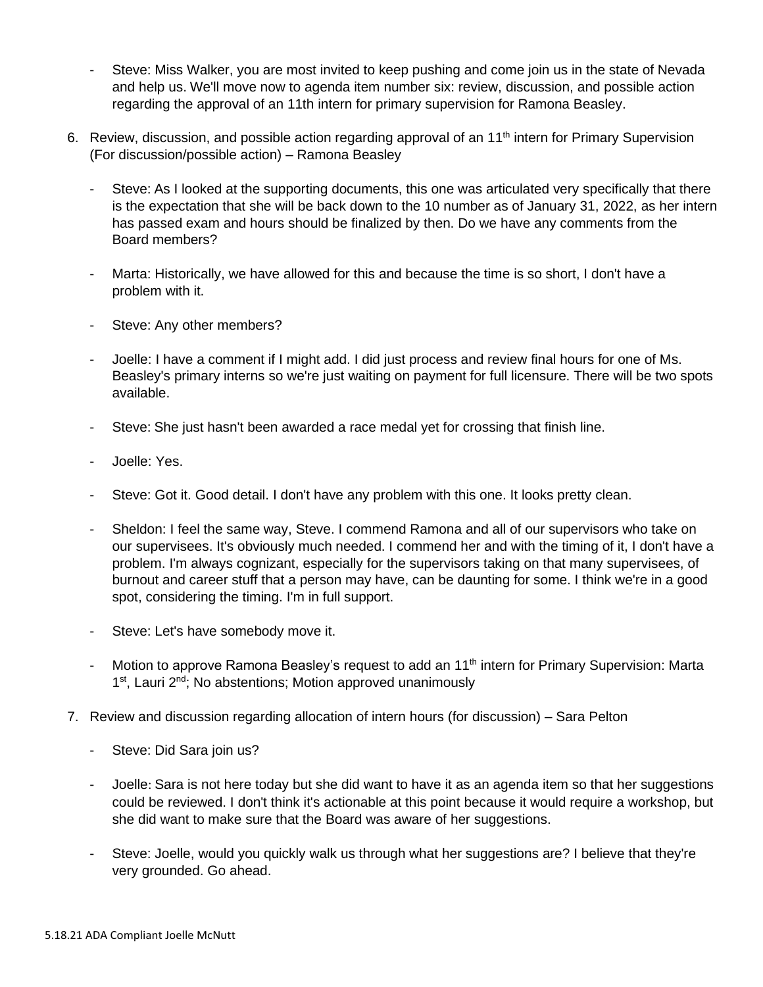- Steve: Miss Walker, you are most invited to keep pushing and come join us in the state of Nevada and help us. We'll move now to agenda item number six: review, discussion, and possible action regarding the approval of an 11th intern for primary supervision for Ramona Beasley.
- 6. Review, discussion, and possible action regarding approval of an 11<sup>th</sup> intern for Primary Supervision (For discussion/possible action) – Ramona Beasley
	- Steve: As I looked at the supporting documents, this one was articulated very specifically that there is the expectation that she will be back down to the 10 number as of January 31, 2022, as her intern has passed exam and hours should be finalized by then. Do we have any comments from the Board members?
	- Marta: Historically, we have allowed for this and because the time is so short, I don't have a problem with it.
	- Steve: Any other members?
	- Joelle: I have a comment if I might add. I did just process and review final hours for one of Ms. Beasley's primary interns so we're just waiting on payment for full licensure. There will be two spots available.
	- Steve: She just hasn't been awarded a race medal yet for crossing that finish line.
	- Joelle: Yes.
	- Steve: Got it. Good detail. I don't have any problem with this one. It looks pretty clean.
	- Sheldon: I feel the same way, Steve. I commend Ramona and all of our supervisors who take on our supervisees. It's obviously much needed. I commend her and with the timing of it, I don't have a problem. I'm always cognizant, especially for the supervisors taking on that many supervisees, of burnout and career stuff that a person may have, can be daunting for some. I think we're in a good spot, considering the timing. I'm in full support.
	- Steve: Let's have somebody move it.
	- Motion to approve Ramona Beasley's request to add an 11<sup>th</sup> intern for Primary Supervision: Marta 1<sup>st</sup>, Lauri 2<sup>nd</sup>; No abstentions; Motion approved unanimously
- 7. Review and discussion regarding allocation of intern hours (for discussion) Sara Pelton
	- Steve: Did Sara join us?
	- Joelle: Sara is not here today but she did want to have it as an agenda item so that her suggestions could be reviewed. I don't think it's actionable at this point because it would require a workshop, but she did want to make sure that the Board was aware of her suggestions.
	- Steve: Joelle, would you quickly walk us through what her suggestions are? I believe that they're very grounded. Go ahead.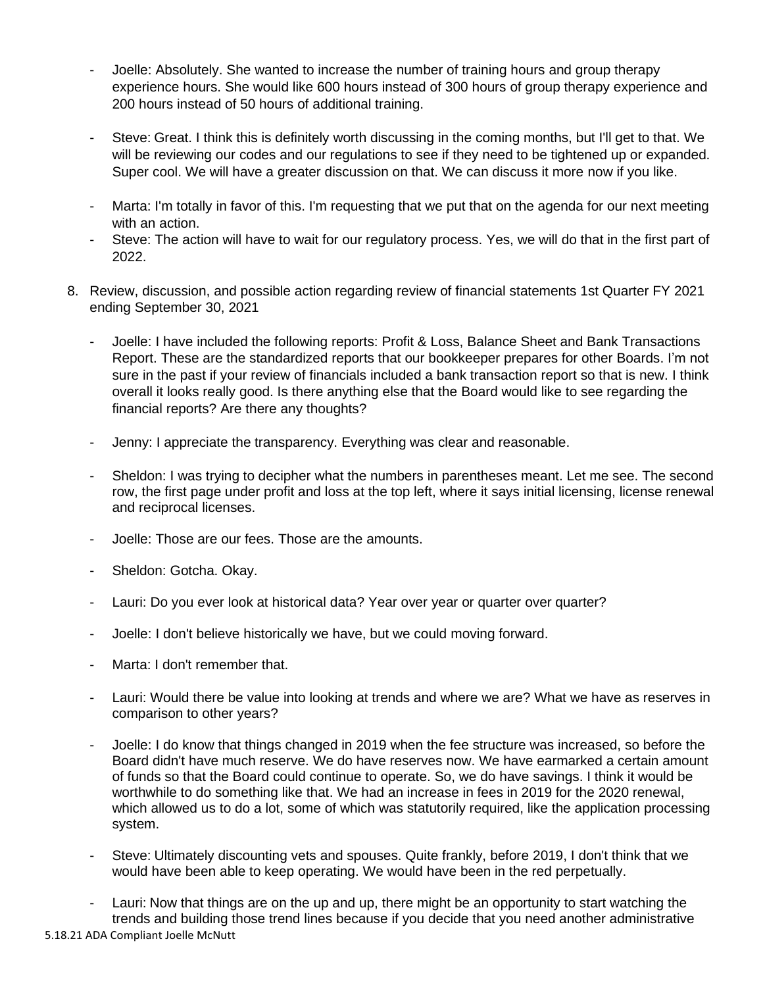- Joelle: Absolutely. She wanted to increase the number of training hours and group therapy experience hours. She would like 600 hours instead of 300 hours of group therapy experience and 200 hours instead of 50 hours of additional training.
- Steve: Great. I think this is definitely worth discussing in the coming months, but I'll get to that. We will be reviewing our codes and our regulations to see if they need to be tightened up or expanded. Super cool. We will have a greater discussion on that. We can discuss it more now if you like.
- Marta: I'm totally in favor of this. I'm requesting that we put that on the agenda for our next meeting with an action.
- Steve: The action will have to wait for our regulatory process. Yes, we will do that in the first part of 2022.
- 8. Review, discussion, and possible action regarding review of financial statements 1st Quarter FY 2021 ending September 30, 2021
	- Joelle: I have included the following reports: Profit & Loss, Balance Sheet and Bank Transactions Report. These are the standardized reports that our bookkeeper prepares for other Boards. I'm not sure in the past if your review of financials included a bank transaction report so that is new. I think overall it looks really good. Is there anything else that the Board would like to see regarding the financial reports? Are there any thoughts?
	- Jenny: I appreciate the transparency. Everything was clear and reasonable.
	- Sheldon: I was trying to decipher what the numbers in parentheses meant. Let me see. The second row, the first page under profit and loss at the top left, where it says initial licensing, license renewal and reciprocal licenses.
	- Joelle: Those are our fees. Those are the amounts.
	- Sheldon: Gotcha. Okay.
	- Lauri: Do you ever look at historical data? Year over year or quarter over quarter?
	- Joelle: I don't believe historically we have, but we could moving forward.
	- Marta: I don't remember that.
	- Lauri: Would there be value into looking at trends and where we are? What we have as reserves in comparison to other years?
	- Joelle: I do know that things changed in 2019 when the fee structure was increased, so before the Board didn't have much reserve. We do have reserves now. We have earmarked a certain amount of funds so that the Board could continue to operate. So, we do have savings. I think it would be worthwhile to do something like that. We had an increase in fees in 2019 for the 2020 renewal, which allowed us to do a lot, some of which was statutorily required, like the application processing system.
	- Steve: Ultimately discounting vets and spouses. Quite frankly, before 2019, I don't think that we would have been able to keep operating. We would have been in the red perpetually.
	- Lauri: Now that things are on the up and up, there might be an opportunity to start watching the trends and building those trend lines because if you decide that you need another administrative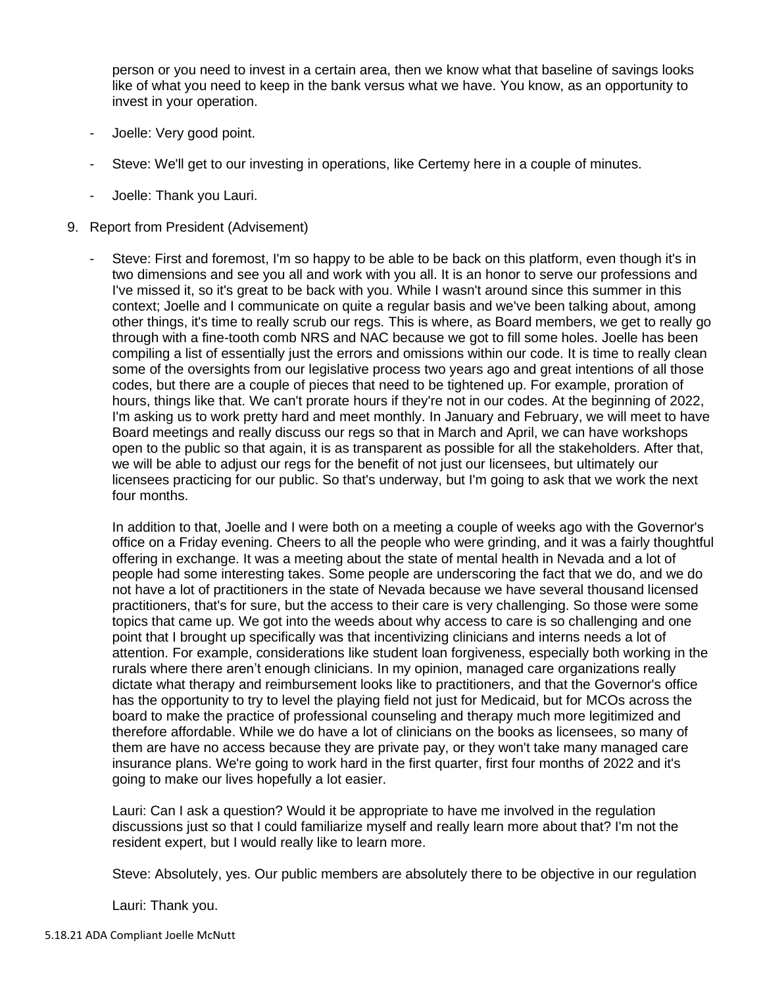person or you need to invest in a certain area, then we know what that baseline of savings looks like of what you need to keep in the bank versus what we have. You know, as an opportunity to invest in your operation.

- Joelle: Very good point.
- Steve: We'll get to our investing in operations, like Certemy here in a couple of minutes.
- Joelle: Thank you Lauri.
- 9. Report from President (Advisement)
	- Steve: First and foremost, I'm so happy to be able to be back on this platform, even though it's in two dimensions and see you all and work with you all. It is an honor to serve our professions and I've missed it, so it's great to be back with you. While I wasn't around since this summer in this context; Joelle and I communicate on quite a regular basis and we've been talking about, among other things, it's time to really scrub our regs. This is where, as Board members, we get to really go through with a fine-tooth comb NRS and NAC because we got to fill some holes. Joelle has been compiling a list of essentially just the errors and omissions within our code. It is time to really clean some of the oversights from our legislative process two years ago and great intentions of all those codes, but there are a couple of pieces that need to be tightened up. For example, proration of hours, things like that. We can't prorate hours if they're not in our codes. At the beginning of 2022, I'm asking us to work pretty hard and meet monthly. In January and February, we will meet to have Board meetings and really discuss our regs so that in March and April, we can have workshops open to the public so that again, it is as transparent as possible for all the stakeholders. After that, we will be able to adjust our regs for the benefit of not just our licensees, but ultimately our licensees practicing for our public. So that's underway, but I'm going to ask that we work the next four months.

In addition to that, Joelle and I were both on a meeting a couple of weeks ago with the Governor's office on a Friday evening. Cheers to all the people who were grinding, and it was a fairly thoughtful offering in exchange. It was a meeting about the state of mental health in Nevada and a lot of people had some interesting takes. Some people are underscoring the fact that we do, and we do not have a lot of practitioners in the state of Nevada because we have several thousand licensed practitioners, that's for sure, but the access to their care is very challenging. So those were some topics that came up. We got into the weeds about why access to care is so challenging and one point that I brought up specifically was that incentivizing clinicians and interns needs a lot of attention. For example, considerations like student loan forgiveness, especially both working in the rurals where there aren't enough clinicians. In my opinion, managed care organizations really dictate what therapy and reimbursement looks like to practitioners, and that the Governor's office has the opportunity to try to level the playing field not just for Medicaid, but for MCOs across the board to make the practice of professional counseling and therapy much more legitimized and therefore affordable. While we do have a lot of clinicians on the books as licensees, so many of them are have no access because they are private pay, or they won't take many managed care insurance plans. We're going to work hard in the first quarter, first four months of 2022 and it's going to make our lives hopefully a lot easier.

Lauri: Can I ask a question? Would it be appropriate to have me involved in the regulation discussions just so that I could familiarize myself and really learn more about that? I'm not the resident expert, but I would really like to learn more.

Steve: Absolutely, yes. Our public members are absolutely there to be objective in our regulation

Lauri: Thank you.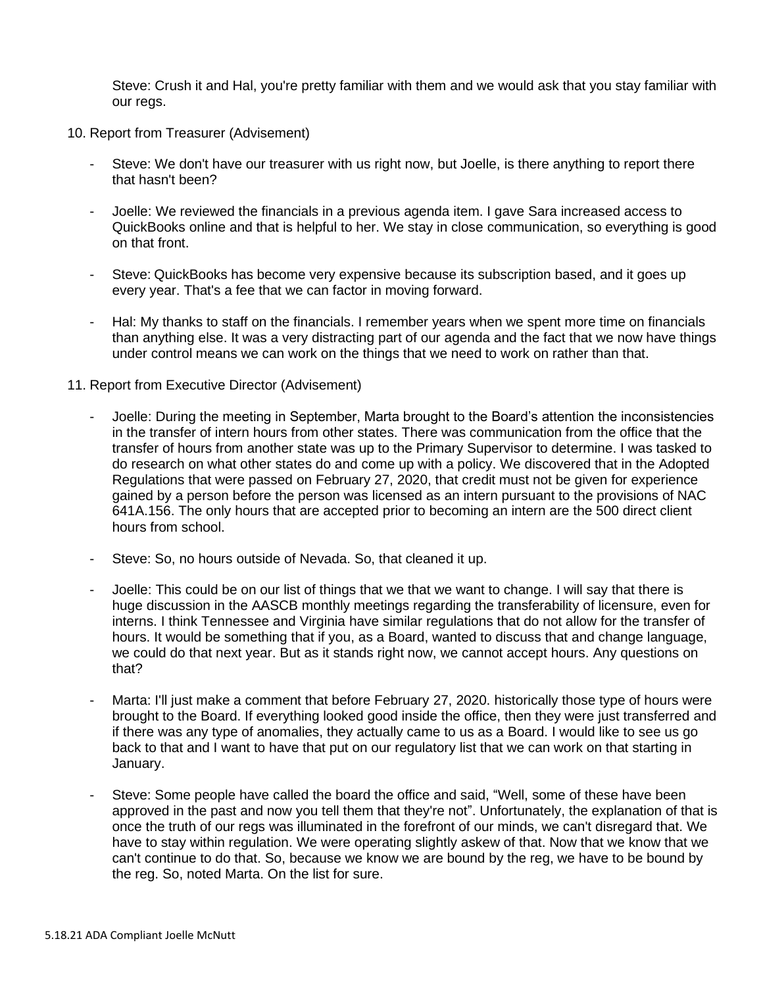Steve: Crush it and Hal, you're pretty familiar with them and we would ask that you stay familiar with our regs.

- 10. Report from Treasurer (Advisement)
	- Steve: We don't have our treasurer with us right now, but Joelle, is there anything to report there that hasn't been?
	- Joelle: We reviewed the financials in a previous agenda item. I gave Sara increased access to QuickBooks online and that is helpful to her. We stay in close communication, so everything is good on that front.
	- Steve: QuickBooks has become very expensive because its subscription based, and it goes up every year. That's a fee that we can factor in moving forward.
	- Hal: My thanks to staff on the financials. I remember years when we spent more time on financials than anything else. It was a very distracting part of our agenda and the fact that we now have things under control means we can work on the things that we need to work on rather than that.
- 11. Report from Executive Director (Advisement)
	- Joelle: During the meeting in September, Marta brought to the Board's attention the inconsistencies in the transfer of intern hours from other states. There was communication from the office that the transfer of hours from another state was up to the Primary Supervisor to determine. I was tasked to do research on what other states do and come up with a policy. We discovered that in the Adopted Regulations that were passed on February 27, 2020, that credit must not be given for experience gained by a person before the person was licensed as an intern pursuant to the provisions of NAC 641A.156. The only hours that are accepted prior to becoming an intern are the 500 direct client hours from school.
	- Steve: So, no hours outside of Nevada. So, that cleaned it up.
	- Joelle: This could be on our list of things that we that we want to change. I will say that there is huge discussion in the AASCB monthly meetings regarding the transferability of licensure, even for interns. I think Tennessee and Virginia have similar regulations that do not allow for the transfer of hours. It would be something that if you, as a Board, wanted to discuss that and change language, we could do that next year. But as it stands right now, we cannot accept hours. Any questions on that?
	- Marta: I'll just make a comment that before February 27, 2020. historically those type of hours were brought to the Board. If everything looked good inside the office, then they were just transferred and if there was any type of anomalies, they actually came to us as a Board. I would like to see us go back to that and I want to have that put on our regulatory list that we can work on that starting in January.
	- Steve: Some people have called the board the office and said, "Well, some of these have been approved in the past and now you tell them that they're not". Unfortunately, the explanation of that is once the truth of our regs was illuminated in the forefront of our minds, we can't disregard that. We have to stay within regulation. We were operating slightly askew of that. Now that we know that we can't continue to do that. So, because we know we are bound by the reg, we have to be bound by the reg. So, noted Marta. On the list for sure.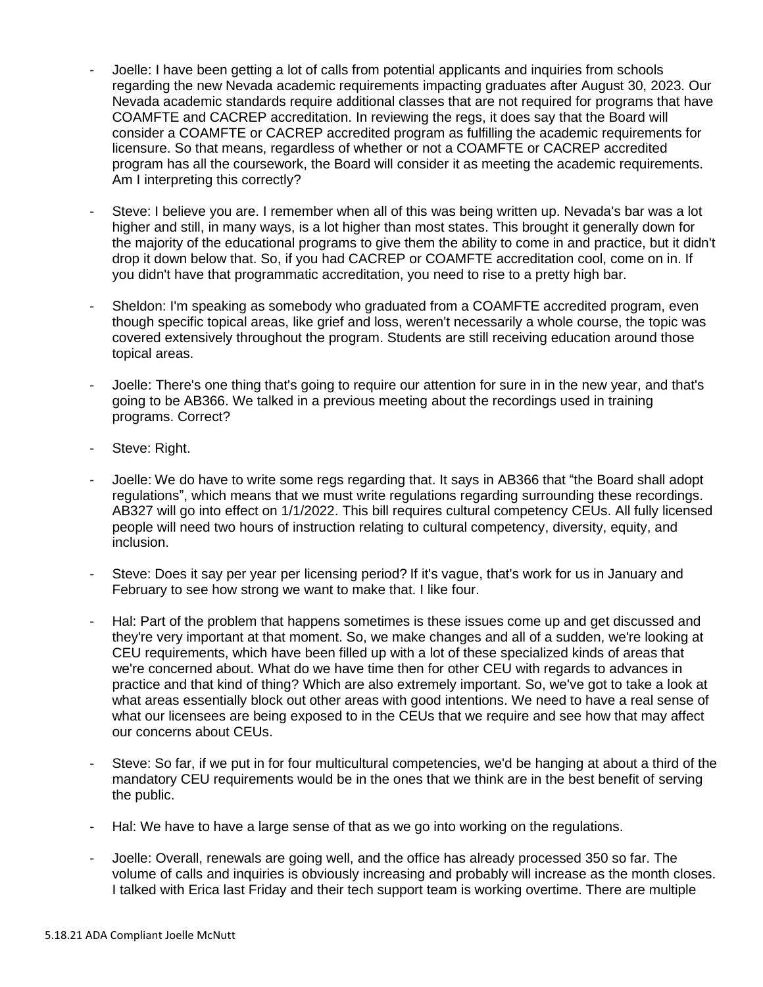- Joelle: I have been getting a lot of calls from potential applicants and inquiries from schools regarding the new Nevada academic requirements impacting graduates after August 30, 2023. Our Nevada academic standards require additional classes that are not required for programs that have COAMFTE and CACREP accreditation. In reviewing the regs, it does say that the Board will consider a COAMFTE or CACREP accredited program as fulfilling the academic requirements for licensure. So that means, regardless of whether or not a COAMFTE or CACREP accredited program has all the coursework, the Board will consider it as meeting the academic requirements. Am I interpreting this correctly?
- Steve: I believe you are. I remember when all of this was being written up. Nevada's bar was a lot higher and still, in many ways, is a lot higher than most states. This brought it generally down for the majority of the educational programs to give them the ability to come in and practice, but it didn't drop it down below that. So, if you had CACREP or COAMFTE accreditation cool, come on in. If you didn't have that programmatic accreditation, you need to rise to a pretty high bar.
- Sheldon: I'm speaking as somebody who graduated from a COAMFTE accredited program, even though specific topical areas, like grief and loss, weren't necessarily a whole course, the topic was covered extensively throughout the program. Students are still receiving education around those topical areas.
- Joelle: There's one thing that's going to require our attention for sure in in the new year, and that's going to be AB366. We talked in a previous meeting about the recordings used in training programs. Correct?
- Steve: Right.
- Joelle: We do have to write some regs regarding that. It says in AB366 that "the Board shall adopt regulations", which means that we must write regulations regarding surrounding these recordings. AB327 will go into effect on 1/1/2022. This bill requires cultural competency CEUs. All fully licensed people will need two hours of instruction relating to cultural competency, diversity, equity, and inclusion.
- Steve: Does it say per year per licensing period? If it's vague, that's work for us in January and February to see how strong we want to make that. I like four.
- Hal: Part of the problem that happens sometimes is these issues come up and get discussed and they're very important at that moment. So, we make changes and all of a sudden, we're looking at CEU requirements, which have been filled up with a lot of these specialized kinds of areas that we're concerned about. What do we have time then for other CEU with regards to advances in practice and that kind of thing? Which are also extremely important. So, we've got to take a look at what areas essentially block out other areas with good intentions. We need to have a real sense of what our licensees are being exposed to in the CEUs that we require and see how that may affect our concerns about CEUs.
- Steve: So far, if we put in for four multicultural competencies, we'd be hanging at about a third of the mandatory CEU requirements would be in the ones that we think are in the best benefit of serving the public.
- Hal: We have to have a large sense of that as we go into working on the regulations.
- Joelle: Overall, renewals are going well, and the office has already processed 350 so far. The volume of calls and inquiries is obviously increasing and probably will increase as the month closes. I talked with Erica last Friday and their tech support team is working overtime. There are multiple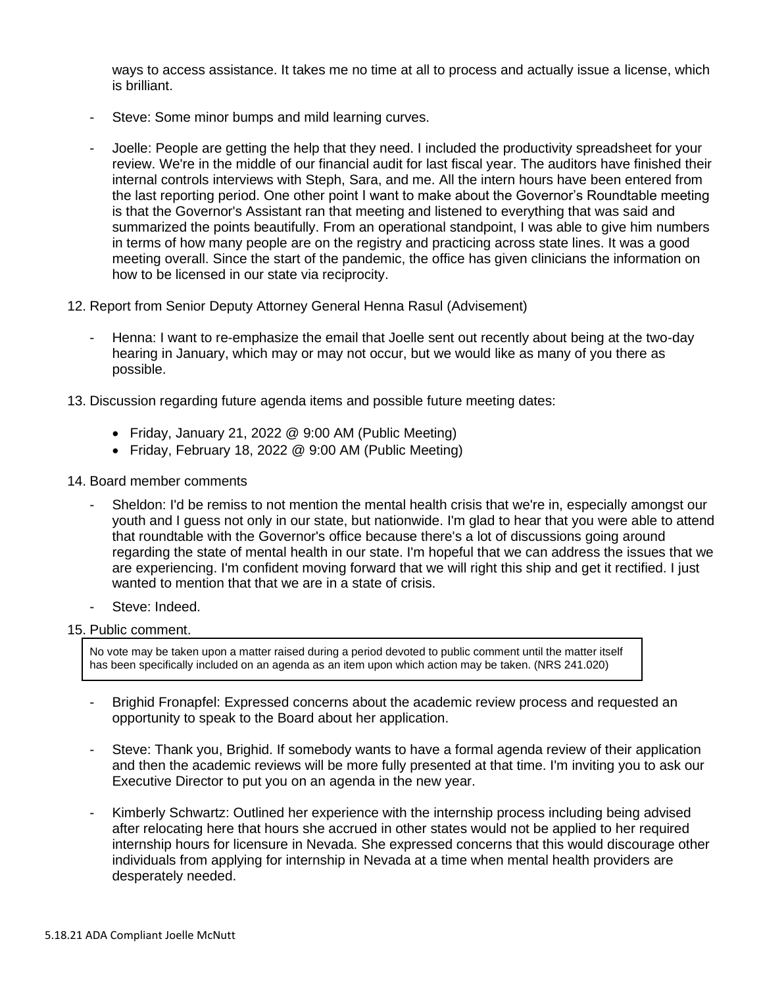ways to access assistance. It takes me no time at all to process and actually issue a license, which is brilliant.

- Steve: Some minor bumps and mild learning curves.
- Joelle: People are getting the help that they need. I included the productivity spreadsheet for your review. We're in the middle of our financial audit for last fiscal year. The auditors have finished their internal controls interviews with Steph, Sara, and me. All the intern hours have been entered from the last reporting period. One other point I want to make about the Governor's Roundtable meeting is that the Governor's Assistant ran that meeting and listened to everything that was said and summarized the points beautifully. From an operational standpoint, I was able to give him numbers in terms of how many people are on the registry and practicing across state lines. It was a good meeting overall. Since the start of the pandemic, the office has given clinicians the information on how to be licensed in our state via reciprocity.
- 12. Report from Senior Deputy Attorney General Henna Rasul (Advisement)
	- Henna: I want to re-emphasize the email that Joelle sent out recently about being at the two-day hearing in January, which may or may not occur, but we would like as many of you there as possible.
- 13. Discussion regarding future agenda items and possible future meeting dates:
	- Friday, January 21, 2022 @ 9:00 AM (Public Meeting)
	- Friday, February 18, 2022 @ 9:00 AM (Public Meeting)
- 14. Board member comments
	- Sheldon: I'd be remiss to not mention the mental health crisis that we're in, especially amongst our youth and I guess not only in our state, but nationwide. I'm glad to hear that you were able to attend that roundtable with the Governor's office because there's a lot of discussions going around regarding the state of mental health in our state. I'm hopeful that we can address the issues that we are experiencing. I'm confident moving forward that we will right this ship and get it rectified. I just wanted to mention that that we are in a state of crisis.
	- Steve: Indeed.
- 15. Public comment.

No vote may be taken upon a matter raised during a period devoted to public comment until the matter itself has been specifically included on an agenda as an item upon which action may be taken. (NRS 241.020)

- Brighid Fronapfel: Expressed concerns about the academic review process and requested an opportunity to speak to the Board about her application.
- Steve: Thank you, Brighid. If somebody wants to have a formal agenda review of their application and then the academic reviews will be more fully presented at that time. I'm inviting you to ask our Executive Director to put you on an agenda in the new year.
- Kimberly Schwartz: Outlined her experience with the internship process including being advised after relocating here that hours she accrued in other states would not be applied to her required internship hours for licensure in Nevada. She expressed concerns that this would discourage other individuals from applying for internship in Nevada at a time when mental health providers are desperately needed.